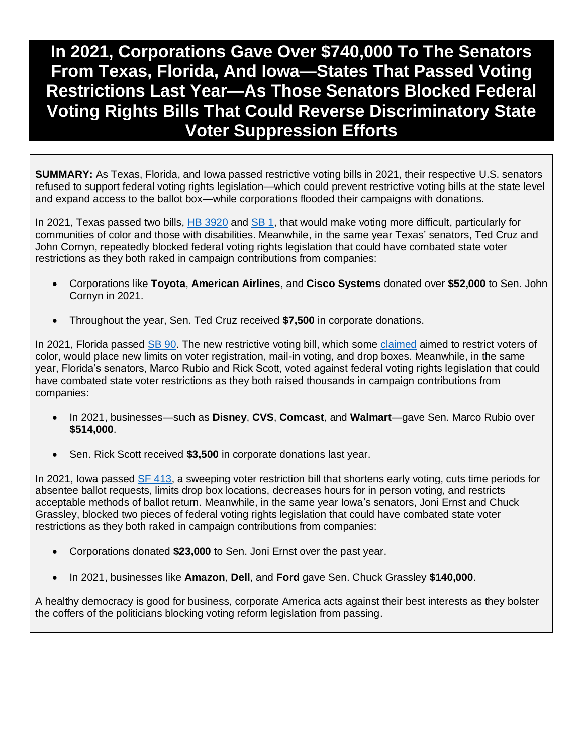# **In 2021, Corporations Gave Over \$740,000 To The Senators From Texas, Florida, And Iowa—States That Passed Voting Restrictions Last Year—As Those Senators Blocked Federal Voting Rights Bills That Could Reverse Discriminatory State Voter Suppression Efforts**

**SUMMARY:** As Texas, Florida, and Iowa passed restrictive voting bills in 2021, their respective U.S. senators refused to support federal voting rights legislation—which could prevent restrictive voting bills at the state level and expand access to the ballot box—while corporations flooded their campaigns with donations.

In 2021, Texas passed two bills, [HB 3920](https://capitol.texas.gov/BillLookup/History.aspx?LegSess=87R&Bill=HB3920) and [SB 1,](https://capitol.texas.gov/BillLookup/history.aspx?LegSess=872&Bill=SB1) that would make voting more difficult, particularly for communities of color and those with disabilities. Meanwhile, in the same year Texas' senators, Ted Cruz and John Cornyn, repeatedly blocked federal voting rights legislation that could have combated state voter restrictions as they both raked in campaign contributions from companies:

- Corporations like **Toyota**, **American Airlines**, and **Cisco Systems** donated over **\$52,000** to Sen. John Cornyn in 2021.
- Throughout the year, Sen. Ted Cruz received **\$7,500** in corporate donations.

In 2021, Florida passed [SB 90.](https://www.flsenate.gov/Session/Bill/2021/90) The new restrictive voting bill, which some [claimed](https://www.nbcnews.com/politics/elections/florida-passes-new-voting-law-includes-restrictions-vote-mail-drop-n1265765) aimed to restrict voters of color, would place new limits on voter registration, mail-in voting, and drop boxes. Meanwhile, in the same year, Florida's senators, Marco Rubio and Rick Scott, voted against federal voting rights legislation that could have combated state voter restrictions as they both raised thousands in campaign contributions from companies:

- In 2021, businesses—such as **Disney**, **CVS**, **Comcast**, and **Walmart**—gave Sen. Marco Rubio over **\$514,000**.
- Sen. Rick Scott received **\$3,500** in corporate donations last year.

In 2021, Iowa passed [SF 413,](https://www.legis.iowa.gov/legislation/BillBook?ga=89&ba=sf413) a sweeping voter restriction bill that shortens early voting, cuts time periods for absentee ballot requests, limits drop box locations, decreases hours for in person voting, and restricts acceptable methods of ballot return. Meanwhile, in the same year Iowa's senators, Joni Ernst and Chuck Grassley, blocked two pieces of federal voting rights legislation that could have combated state voter restrictions as they both raked in campaign contributions from companies:

- Corporations donated **\$23,000** to Sen. Joni Ernst over the past year.
- In 2021, businesses like **Amazon**, **Dell**, and **Ford** gave Sen. Chuck Grassley **\$140,000**.

A healthy democracy is good for business, corporate America acts against their best interests as they bolster the coffers of the politicians blocking voting reform legislation from passing.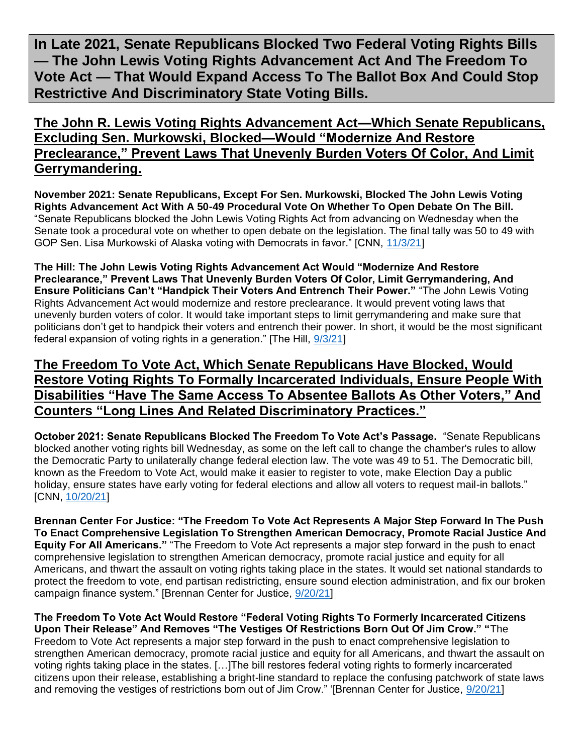**In Late 2021, Senate Republicans Blocked Two Federal Voting Rights Bills — The John Lewis Voting Rights Advancement Act And The Freedom To Vote Act — That Would Expand Access To The Ballot Box And Could Stop Restrictive And Discriminatory State Voting Bills.**

**The John R. Lewis Voting Rights Advancement Act—Which Senate Republicans, Excluding Sen. Murkowski, Blocked—Would "Modernize And Restore Preclearance," Prevent Laws That Unevenly Burden Voters Of Color, And Limit Gerrymandering.**

**November 2021: Senate Republicans, Except For Sen. Murkowski, Blocked The John Lewis Voting Rights Advancement Act With A 50-49 Procedural Vote On Whether To Open Debate On The Bill.**  "Senate Republicans blocked the John Lewis Voting Rights Act from advancing on Wednesday when the Senate took a procedural vote on whether to open debate on the legislation. The final tally was 50 to 49 with GOP Sen. Lisa Murkowski of Alaska voting with Democrats in favor." [CNN, [11/3/21\]](https://www.cnn.com/2021/11/03/politics/john-lewis-voting-rights-act-senate-vote/index.html)

**The Hill: The John Lewis Voting Rights Advancement Act Would "Modernize And Restore Preclearance," Prevent Laws That Unevenly Burden Voters Of Color, Limit Gerrymandering, And Ensure Politicians Can't "Handpick Their Voters And Entrench Their Power."** "The John Lewis Voting Rights Advancement Act would modernize and restore preclearance. It would prevent voting laws that unevenly burden voters of color. It would take important steps to limit gerrymandering and make sure that politicians don't get to handpick their voters and entrench their power. In short, it would be the most significant federal expansion of voting rights in a generation." [The Hill, [9/3/21\]](https://thehill.com/opinion/campaign/570688-hr-4-carries-forward-the-legacy-of-congressman-john-lewis)

## **The Freedom To Vote Act, Which Senate Republicans Have Blocked, Would Restore Voting Rights To Formally Incarcerated Individuals, Ensure People With Disabilities "Have The Same Access To Absentee Ballots As Other Voters," And Counters "Long Lines And Related Discriminatory Practices."**

**October 2021: Senate Republicans Blocked The Freedom To Vote Act's Passage.** "Senate Republicans blocked another voting rights bill Wednesday, as some on the left call to change the chamber's rules to allow the Democratic Party to unilaterally change federal election law. The vote was 49 to 51. The Democratic bill, known as the Freedom to Vote Act, would make it easier to register to vote, make Election Day a public holiday, ensure states have early voting for federal elections and allow all voters to request mail-in ballots." [CNN, [10/20/21\]](https://www.cnn.com/2021/10/20/politics/senate-freedom-to-vote-act-republicans/index.html)

**Brennan Center For Justice: "The Freedom To Vote Act Represents A Major Step Forward In The Push To Enact Comprehensive Legislation To Strengthen American Democracy, Promote Racial Justice And Equity For All Americans."** "The Freedom to Vote Act represents a major step forward in the push to enact comprehensive legislation to strengthen American democracy, promote racial justice and equity for all Americans, and thwart the assault on voting rights taking place in the states. It would set national standards to protect the freedom to vote, end partisan redistricting, ensure sound election administration, and fix our broken campaign finance system." [Brennan Center for Justice, [9/20/21\]](https://www.brennancenter.org/our-work/research-reports/freedom-vote-act)

**The Freedom To Vote Act Would Restore "Federal Voting Rights To Formerly Incarcerated Citizens Upon Their Release" And Removes "The Vestiges Of Restrictions Born Out Of Jim Crow." "**The Freedom to Vote Act represents a major step forward in the push to enact comprehensive legislation to strengthen American democracy, promote racial justice and equity for all Americans, and thwart the assault on voting rights taking place in the states. […]The bill restores federal voting rights to formerly incarcerated citizens upon their release, establishing a bright-line standard to replace the confusing patchwork of state laws and removing the vestiges of restrictions born out of Jim Crow." '[Brennan Center for Justice, [9/20/21\]](https://www.brennancenter.org/our-work/research-reports/freedom-vote-act)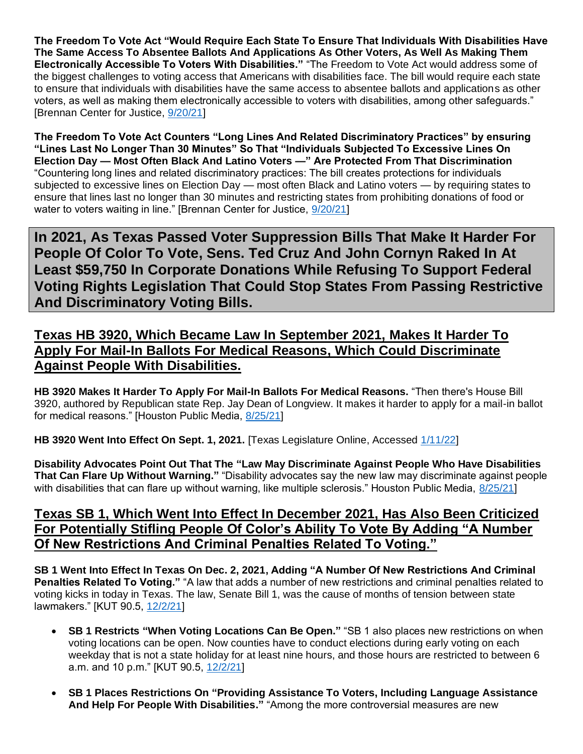**The Freedom To Vote Act "Would Require Each State To Ensure That Individuals With Disabilities Have The Same Access To Absentee Ballots And Applications As Other Voters, As Well As Making Them Electronically Accessible To Voters With Disabilities."** "The Freedom to Vote Act would address some of the biggest challenges to voting access that Americans with disabilities face. The bill would require each state to ensure that individuals with disabilities have the same access to absentee ballots and applications as other voters, as well as making them electronically accessible to voters with disabilities, among other safeguards." [Brennan Center for Justice, [9/20/21\]](https://www.brennancenter.org/our-work/research-reports/freedom-vote-act)

**The Freedom To Vote Act Counters "Long Lines And Related Discriminatory Practices" by ensuring "Lines Last No Longer Than 30 Minutes" So That "Individuals Subjected To Excessive Lines On Election Day — Most Often Black And Latino Voters —" Are Protected From That Discrimination**  "Countering long lines and related discriminatory practices: The bill creates protections for individuals subjected to excessive lines on Election Day — most often Black and Latino voters — by requiring states to ensure that lines last no longer than 30 minutes and restricting states from prohibiting donations of food or water to voters waiting in line." [Brennan Center for Justice, [9/20/21\]](https://www.brennancenter.org/our-work/research-reports/freedom-vote-act)

**In 2021, As Texas Passed Voter Suppression Bills That Make It Harder For People Of Color To Vote, Sens. Ted Cruz And John Cornyn Raked In At Least \$59,750 In Corporate Donations While Refusing To Support Federal Voting Rights Legislation That Could Stop States From Passing Restrictive And Discriminatory Voting Bills.** 

## **Texas HB 3920, Which Became Law In September 2021, Makes It Harder To Apply For Mail-In Ballots For Medical Reasons, Which Could Discriminate Against People With Disabilities.**

**HB 3920 Makes It Harder To Apply For Mail-In Ballots For Medical Reasons.** "Then there's House Bill 3920, authored by Republican state Rep. Jay Dean of Longview. It makes it harder to apply for a mail-in ballot for medical reasons." [Houston Public Media, [8/25/21\]](https://www.houstonpublicmedia.org/articles/news/in-depth/2021/08/25/406300/overlooked-in-drama-over-omnibus-elections-bill-several-controversial-voting-laws-are-set-to-take-effect-september-1/)

**HB 3920 Went Into Effect On Sept. 1, 2021.** [Texas Legislature Online, Accessed [1/11/22\]](https://capitol.texas.gov/BillLookup/History.aspx?LegSess=87R&Bill=HB3920)

**Disability Advocates Point Out That The "Law May Discriminate Against People Who Have Disabilities That Can Flare Up Without Warning."** "Disability advocates say the new law may discriminate against people with disabilities that can flare up without warning, like multiple sclerosis." Houston Public Media, [8/25/21\]](https://www.houstonpublicmedia.org/articles/news/in-depth/2021/08/25/406300/overlooked-in-drama-over-omnibus-elections-bill-several-controversial-voting-laws-are-set-to-take-effect-september-1/)

## **Texas SB 1, Which Went Into Effect In December 2021, Has Also Been Criticized For Potentially Stifling People Of Color's Ability To Vote By Adding "A Number Of New Restrictions And Criminal Penalties Related To Voting."**

**SB 1 Went Into Effect In Texas On Dec. 2, 2021, Adding "A Number Of New Restrictions And Criminal Penalties Related To Voting."** "A law that adds a number of new restrictions and criminal penalties related to voting kicks in today in Texas. The law, Senate Bill 1, was the cause of months of tension between state lawmakers." [KUT 90.5, [12/2/21\]](https://www.kut.org/texas/2021-12-02/texas-controversial-voting-law-goes-into-effect)

- **SB 1 Restricts "When Voting Locations Can Be Open."** "SB 1 also places new restrictions on when voting locations can be open. Now counties have to conduct elections during early voting on each weekday that is not a state holiday for at least nine hours, and those hours are restricted to between 6 a.m. and 10 p.m." [KUT 90.5, [12/2/21\]](https://www.kut.org/texas/2021-12-02/texas-controversial-voting-law-goes-into-effect)
- **SB 1 Places Restrictions On "Providing Assistance To Voters, Including Language Assistance And Help For People With Disabilities."** "Among the more controversial measures are new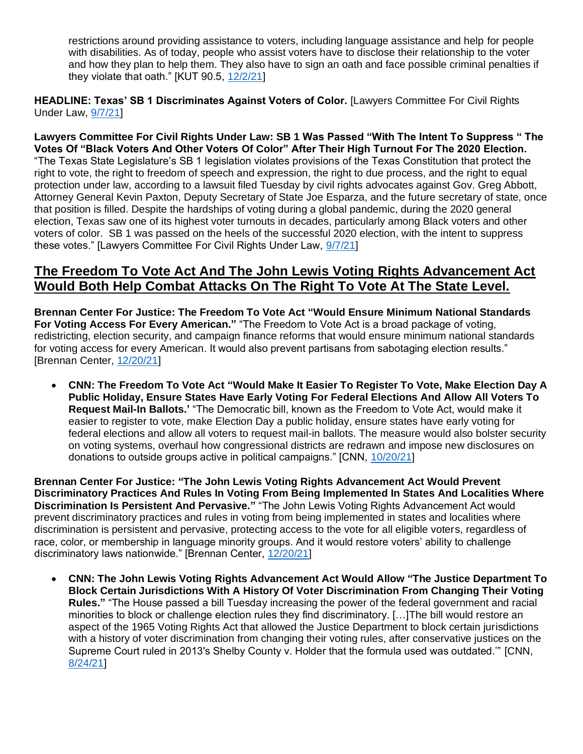restrictions around providing assistance to voters, including language assistance and help for people with disabilities. As of today, people who assist voters have to disclose their relationship to the voter and how they plan to help them. They also have to sign an oath and face possible criminal penalties if they violate that oath." [KUT 90.5, [12/2/21\]](https://www.kut.org/texas/2021-12-02/texas-controversial-voting-law-goes-into-effect)

**HEADLINE: Texas' SB 1 Discriminates Against Voters of Color.** [Lawyers Committee For Civil Rights Under Law, [9/7/21\]](https://www.lawyerscommittee.org/texass-sb-1-discriminates-against-voters-of-color/)

**Lawyers Committee For Civil Rights Under Law: SB 1 Was Passed "With The Intent To Suppress " The Votes Of "Black Voters And Other Voters Of Color" After Their High Turnout For The 2020 Election.** "The Texas State Legislature's SB 1 legislation violates provisions of the Texas Constitution that protect the right to vote, the right to freedom of speech and expression, the right to due process, and the right to equal protection under law, according to a lawsuit filed Tuesday by civil rights advocates against Gov. Greg Abbott, Attorney General Kevin Paxton, Deputy Secretary of State Joe Esparza, and the future secretary of state, once that position is filled. Despite the hardships of voting during a global pandemic, during the 2020 general election, Texas saw one of its highest voter turnouts in decades, particularly among Black voters and other voters of color. SB 1 was passed on the heels of the successful 2020 election, with the intent to suppress these votes." [Lawyers Committee For Civil Rights Under Law, [9/7/21\]](https://www.lawyerscommittee.org/texass-sb-1-discriminates-against-voters-of-color/)

#### **The Freedom To Vote Act And The John Lewis Voting Rights Advancement Act Would Both Help Combat Attacks On The Right To Vote At The State Level.**

**Brennan Center For Justice: The Freedom To Vote Act "Would Ensure Minimum National Standards For Voting Access For Every American."** "The Freedom to Vote Act is a broad package of voting, redistricting, election security, and campaign finance reforms that would ensure minimum national standards for voting access for every American. It would also prevent partisans from sabotaging election results." [Brennan Center, [12/20/21\]](https://www.brennancenter.org/our-work/research-reports/voting-laws-roundup-december-2021)

• **CNN: The Freedom To Vote Act "Would Make It Easier To Register To Vote, Make Election Day A Public Holiday, Ensure States Have Early Voting For Federal Elections And Allow All Voters To Request Mail-In Ballots.'** "The Democratic bill, known as the Freedom to Vote Act, would make it easier to register to vote, make Election Day a public holiday, ensure states have early voting for federal elections and allow all voters to request mail-in ballots. The measure would also bolster security on voting systems, overhaul how congressional districts are redrawn and impose new disclosures on donations to outside groups active in political campaigns." [CNN, [10/20/21\]](https://www.cnn.com/2021/10/20/politics/senate-freedom-to-vote-act-republicans/index.html)

**Brennan Center For Justice: "The John Lewis Voting Rights Advancement Act Would Prevent Discriminatory Practices And Rules In Voting From Being Implemented In States And Localities Where Discrimination Is Persistent And Pervasive."** "The John Lewis Voting Rights Advancement Act would prevent discriminatory practices and rules in voting from being implemented in states and localities where discrimination is persistent and pervasive, protecting access to the vote for all eligible voters, regardless of race, color, or membership in language minority groups. And it would restore voters' ability to challenge discriminatory laws nationwide." [Brennan Center, [12/20/21\]](https://www.brennancenter.org/our-work/research-reports/voting-laws-roundup-december-2021)

• **CNN: The John Lewis Voting Rights Advancement Act Would Allow "The Justice Department To Block Certain Jurisdictions With A History Of Voter Discrimination From Changing Their Voting Rules."** "The House passed a bill Tuesday increasing the power of the federal government and racial minorities to block or challenge election rules they find discriminatory. […]The bill would restore an aspect of the 1965 Voting Rights Act that allowed the Justice Department to block certain jurisdictions with a history of voter discrimination from changing their voting rules, after conservative justices on the Supreme Court ruled in 2013's Shelby County v. Holder that the formula used was outdated.'" [CNN, [8/24/21\]](https://www.cnn.com/2021/08/24/politics/john-lewis-voting-rights-advancements-act-house/index.html)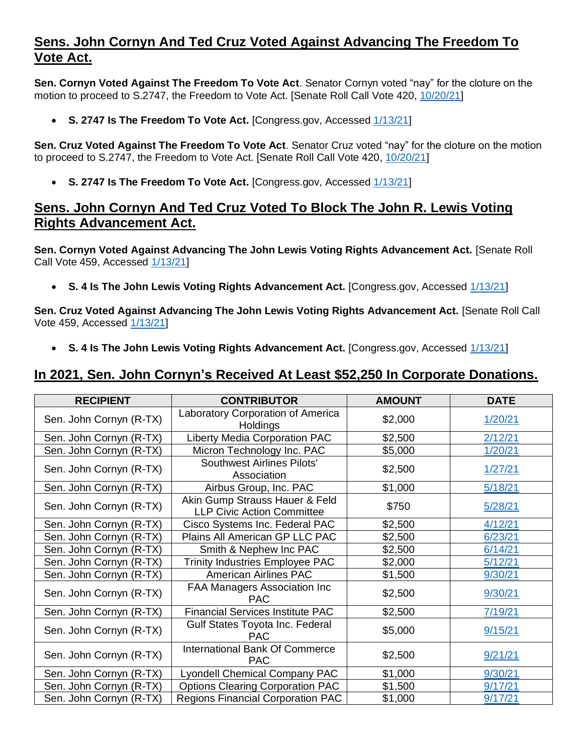## **Sens. John Cornyn And Ted Cruz Voted Against Advancing The Freedom To Vote Act.**

**Sen. Cornyn Voted Against The Freedom To Vote Act**. Senator Cornyn voted "nay" for the cloture on the motion to proceed to S.2747, the Freedom to Vote Act. [Senate Roll Call Vote 420, [10/20/21\]](https://www.senate.gov/legislative/LIS/roll_call_votes/vote1171/vote_117_1_00420.htm)

• **S. 2747 Is The Freedom To Vote Act.** [Congress.gov, Accessed [1/13/21\]](https://www.congress.gov/bill/117th-congress/senate-bill/2747?s=1&r=19)

**Sen. Cruz Voted Against The Freedom To Vote Act**. Senator Cruz voted "nay" for the cloture on the motion to proceed to S.2747, the Freedom to Vote Act. [Senate Roll Call Vote 420, [10/20/21\]](https://www.senate.gov/legislative/LIS/roll_call_votes/vote1171/vote_117_1_00420.htm)

• **S. 2747 Is The Freedom To Vote Act.** [Congress.gov, Accessed [1/13/21\]](https://www.congress.gov/bill/117th-congress/senate-bill/2747?s=1&r=19)

#### **Sens. John Cornyn And Ted Cruz Voted To Block The John R. Lewis Voting Rights Advancement Act.**

**Sen. Cornyn Voted Against Advancing The John Lewis Voting Rights Advancement Act.** [Senate Roll Call Vote 459, Accessed [1/13/21\]](https://www.senate.gov/legislative/LIS/roll_call_lists/roll_call_vote_cfm.cfm?congress=117&session=1&vote=00459)

• **S. 4 Is The John Lewis Voting Rights Advancement Act.** [Congress.gov, Accessed [1/13/21\]](https://www.congress.gov/bill/117th-congress/senate-bill/4)

**Sen. Cruz Voted Against Advancing The John Lewis Voting Rights Advancement Act.** [Senate Roll Call Vote 459, Accessed [1/13/21\]](https://www.senate.gov/legislative/LIS/roll_call_lists/roll_call_vote_cfm.cfm?congress=117&session=1&vote=00459)

• **S. 4 Is The John Lewis Voting Rights Advancement Act.** [Congress.gov, Accessed [1/13/21\]](https://www.congress.gov/bill/117th-congress/senate-bill/4)

#### **In 2021, Sen. John Cornyn's Received At Least \$52,250 In Corporate Donations.**

| <b>RECIPIENT</b>        | <b>CONTRIBUTOR</b>                                                  | <b>AMOUNT</b> | <b>DATE</b> |
|-------------------------|---------------------------------------------------------------------|---------------|-------------|
| Sen. John Cornyn (R-TX) | Laboratory Corporation of America<br>Holdings                       | \$2,000       | 1/20/21     |
| Sen. John Cornyn (R-TX) | <b>Liberty Media Corporation PAC</b>                                | \$2,500       | 2/12/21     |
| Sen. John Cornyn (R-TX) | Micron Technology Inc. PAC                                          | \$5,000       | 1/20/21     |
| Sen. John Cornyn (R-TX) | <b>Southwest Airlines Pilots'</b><br>Association                    | \$2,500       | 1/27/21     |
| Sen. John Cornyn (R-TX) | Airbus Group, Inc. PAC                                              | \$1,000       | 5/18/21     |
| Sen. John Cornyn (R-TX) | Akin Gump Strauss Hauer & Feld<br><b>LLP Civic Action Committee</b> | \$750         | 5/28/21     |
| Sen. John Cornyn (R-TX) | Cisco Systems Inc. Federal PAC                                      | \$2,500       | 4/12/21     |
| Sen. John Cornyn (R-TX) | Plains All American GP LLC PAC                                      | \$2,500       | 6/23/21     |
| Sen. John Cornyn (R-TX) | Smith & Nephew Inc PAC                                              | \$2,500       | 6/14/21     |
| Sen. John Cornyn (R-TX) | <b>Trinity Industries Employee PAC</b>                              | \$2,000       | 5/12/21     |
| Sen. John Cornyn (R-TX) | <b>American Airlines PAC</b>                                        | \$1,500       | 9/30/21     |
| Sen. John Cornyn (R-TX) | FAA Managers Association Inc<br><b>PAC</b>                          | \$2,500       | 9/30/21     |
| Sen. John Cornyn (R-TX) | <b>Financial Services Institute PAC</b>                             | \$2,500       | 7/19/21     |
| Sen. John Cornyn (R-TX) | Gulf States Toyota Inc. Federal<br><b>PAC</b>                       | \$5,000       | 9/15/21     |
| Sen. John Cornyn (R-TX) | <b>International Bank Of Commerce</b><br><b>PAC</b>                 | \$2,500       | 9/21/21     |
| Sen. John Cornyn (R-TX) | <b>Lyondell Chemical Company PAC</b>                                | \$1,000       | 9/30/21     |
| Sen. John Cornyn (R-TX) | <b>Options Clearing Corporation PAC</b>                             | \$1,500       | 9/17/21     |
| Sen. John Cornyn (R-TX) | <b>Regions Financial Corporation PAC</b>                            | \$1,000       | 9/17/21     |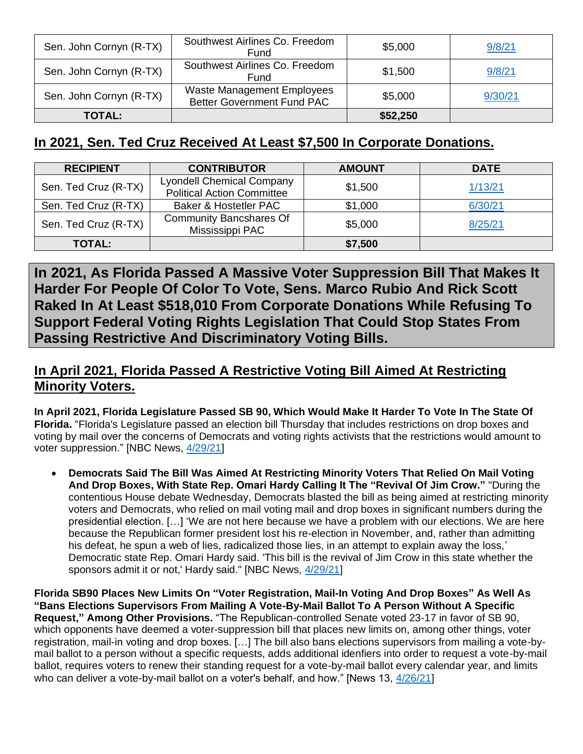| Sen. John Cornyn (R-TX) | Southwest Airlines Co. Freedom<br>Fund                                 | \$5,000  | 9/8/21  |
|-------------------------|------------------------------------------------------------------------|----------|---------|
| Sen. John Cornyn (R-TX) | Southwest Airlines Co. Freedom<br>Fund                                 | \$1,500  | 9/8/21  |
| Sen. John Cornyn (R-TX) | <b>Waste Management Employees</b><br><b>Better Government Fund PAC</b> | \$5,000  | 9/30/21 |
| <b>TOTAL:</b>           |                                                                        | \$52,250 |         |

## **In 2021, Sen. Ted Cruz Received At Least \$7,500 In Corporate Donations.**

| <b>RECIPIENT</b>     | <b>CONTRIBUTOR</b>                                                    | <b>AMOUNT</b> | <b>DATE</b> |
|----------------------|-----------------------------------------------------------------------|---------------|-------------|
| Sen. Ted Cruz (R-TX) | <b>Lyondell Chemical Company</b><br><b>Political Action Committee</b> | \$1,500       | 1/13/21     |
| Sen. Ted Cruz (R-TX) | Baker & Hostetler PAC                                                 | \$1,000       | 6/30/21     |
| Sen. Ted Cruz (R-TX) | <b>Community Bancshares Of</b><br>Mississippi PAC                     | \$5,000       | 8/25/21     |
| <b>TOTAL:</b>        |                                                                       | \$7,500       |             |

**In 2021, As Florida Passed A Massive Voter Suppression Bill That Makes It Harder For People Of Color To Vote, Sens. Marco Rubio And Rick Scott Raked In At Least \$518,010 From Corporate Donations While Refusing To Support Federal Voting Rights Legislation That Could Stop States From Passing Restrictive And Discriminatory Voting Bills.** 

## **In April 2021, Florida Passed A Restrictive Voting Bill Aimed At Restricting Minority Voters.**

**In April 2021, Florida Legislature Passed SB 90, Which Would Make It Harder To Vote In The State Of Florida.** "Florida's Legislature passed an election bill Thursday that includes restrictions on drop boxes and voting by mail over the concerns of Democrats and voting rights activists that the restrictions would amount to voter suppression." [NBC News, [4/29/21\]](https://www.nbcnews.com/politics/elections/florida-passes-new-voting-law-includes-restrictions-vote-mail-drop-n1265765)

• **Democrats Said The Bill Was Aimed At Restricting Minority Voters That Relied On Mail Voting And Drop Boxes, With State Rep. Omari Hardy Calling It The "Revival Of Jim Crow."** "During the contentious House debate Wednesday, Democrats blasted the bill as being aimed at restricting minority voters and Democrats, who relied on mail voting mail and drop boxes in significant numbers during the presidential election. […] 'We are not here because we have a problem with our elections. We are here because the Republican former president lost his re-election in November, and, rather than admitting his defeat, he spun a web of lies, radicalized those lies, in an attempt to explain away the loss,' Democratic state Rep. Omari Hardy said. 'This bill is the revival of Jim Crow in this state whether the sponsors admit it or not,' Hardy said." [NBC News, [4/29/21\]](https://www.nbcnews.com/politics/elections/florida-passes-new-voting-law-includes-restrictions-vote-mail-drop-n1265765)

**Florida SB90 Places New Limits On "Voter Registration, Mail-In Voting And Drop Boxes" As Well As "Bans Elections Supervisors From Mailing A Vote-By-Mail Ballot To A Person Without A Specific Request," Among Other Provisions.** "The Republican-controlled Senate voted 23-17 in favor of SB 90, which opponents have deemed a voter-suppression bill that places new limits on, among other things, voter registration, mail-in voting and drop boxes. […] The bill also bans elections supervisors from mailing a vote-bymail ballot to a person without a specific requests, adds additional idenfiers into order to request a vote-by-mail ballot, requires voters to renew their standing request for a vote-by-mail ballot every calendar year, and limits who can deliver a vote-by-mail ballot on a voter's behalf, and how." [News 13, [4/26/21\]](https://www.mynews13.com/fl/orlando/news/2021/04/26/florida-senate-passes-sb-90-voting-rules)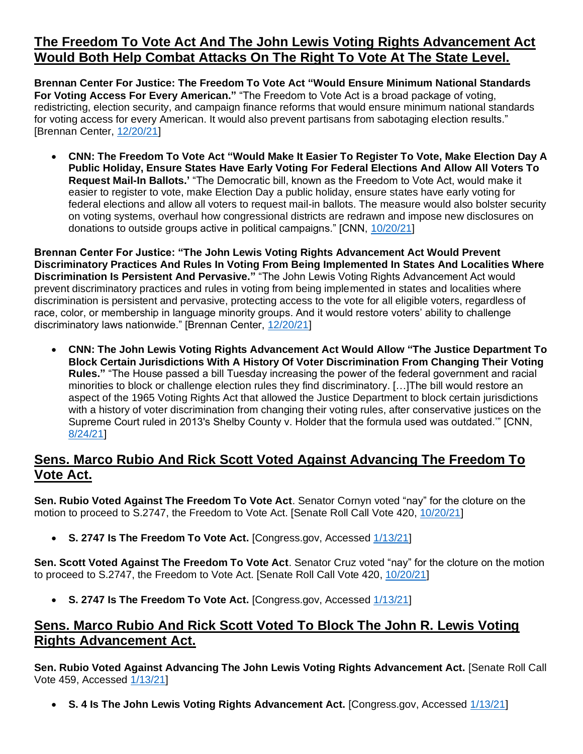## **The Freedom To Vote Act And The John Lewis Voting Rights Advancement Act Would Both Help Combat Attacks On The Right To Vote At The State Level.**

**Brennan Center For Justice: The Freedom To Vote Act "Would Ensure Minimum National Standards For Voting Access For Every American."** "The Freedom to Vote Act is a broad package of voting, redistricting, election security, and campaign finance reforms that would ensure minimum national standards for voting access for every American. It would also prevent partisans from sabotaging election results." [Brennan Center, [12/20/21\]](https://www.brennancenter.org/our-work/research-reports/voting-laws-roundup-december-2021)

• **CNN: The Freedom To Vote Act "Would Make It Easier To Register To Vote, Make Election Day A Public Holiday, Ensure States Have Early Voting For Federal Elections And Allow All Voters To Request Mail-In Ballots.'** "The Democratic bill, known as the Freedom to Vote Act, would make it easier to register to vote, make Election Day a public holiday, ensure states have early voting for federal elections and allow all voters to request mail-in ballots. The measure would also bolster security on voting systems, overhaul how congressional districts are redrawn and impose new disclosures on donations to outside groups active in political campaigns." [CNN, [10/20/21\]](https://www.cnn.com/2021/10/20/politics/senate-freedom-to-vote-act-republicans/index.html)

**Brennan Center For Justice: "The John Lewis Voting Rights Advancement Act Would Prevent Discriminatory Practices And Rules In Voting From Being Implemented In States And Localities Where Discrimination Is Persistent And Pervasive."** "The John Lewis Voting Rights Advancement Act would prevent discriminatory practices and rules in voting from being implemented in states and localities where discrimination is persistent and pervasive, protecting access to the vote for all eligible voters, regardless of race, color, or membership in language minority groups. And it would restore voters' ability to challenge discriminatory laws nationwide." [Brennan Center, [12/20/21\]](https://www.brennancenter.org/our-work/research-reports/voting-laws-roundup-december-2021)

• **CNN: The John Lewis Voting Rights Advancement Act Would Allow "The Justice Department To Block Certain Jurisdictions With A History Of Voter Discrimination From Changing Their Voting Rules."** "The House passed a bill Tuesday increasing the power of the federal government and racial minorities to block or challenge election rules they find discriminatory. […]The bill would restore an aspect of the 1965 Voting Rights Act that allowed the Justice Department to block certain jurisdictions with a history of voter discrimination from changing their voting rules, after conservative justices on the Supreme Court ruled in 2013's Shelby County v. Holder that the formula used was outdated.'" [CNN, [8/24/21\]](https://www.cnn.com/2021/08/24/politics/john-lewis-voting-rights-advancements-act-house/index.html)

## **Sens. Marco Rubio And Rick Scott Voted Against Advancing The Freedom To Vote Act.**

**Sen. Rubio Voted Against The Freedom To Vote Act**. Senator Cornyn voted "nay" for the cloture on the motion to proceed to S.2747, the Freedom to Vote Act. [Senate Roll Call Vote 420, [10/20/21\]](https://www.senate.gov/legislative/LIS/roll_call_votes/vote1171/vote_117_1_00420.htm)

• **S. 2747 Is The Freedom To Vote Act.** [Congress.gov, Accessed [1/13/21\]](https://www.congress.gov/bill/117th-congress/senate-bill/2747?s=1&r=19)

**Sen. Scott Voted Against The Freedom To Vote Act**. Senator Cruz voted "nay" for the cloture on the motion to proceed to S.2747, the Freedom to Vote Act. [Senate Roll Call Vote 420, [10/20/21\]](https://www.senate.gov/legislative/LIS/roll_call_votes/vote1171/vote_117_1_00420.htm)

• **S. 2747 Is The Freedom To Vote Act.** [Congress.gov, Accessed [1/13/21\]](https://www.congress.gov/bill/117th-congress/senate-bill/2747?s=1&r=19)

## **Sens. Marco Rubio And Rick Scott Voted To Block The John R. Lewis Voting Rights Advancement Act.**

**Sen. Rubio Voted Against Advancing The John Lewis Voting Rights Advancement Act.** [Senate Roll Call Vote 459, Accessed [1/13/21\]](https://www.senate.gov/legislative/LIS/roll_call_lists/roll_call_vote_cfm.cfm?congress=117&session=1&vote=00459)

• **S. 4 Is The John Lewis Voting Rights Advancement Act.** [Congress.gov, Accessed [1/13/21\]](https://www.congress.gov/bill/117th-congress/senate-bill/4)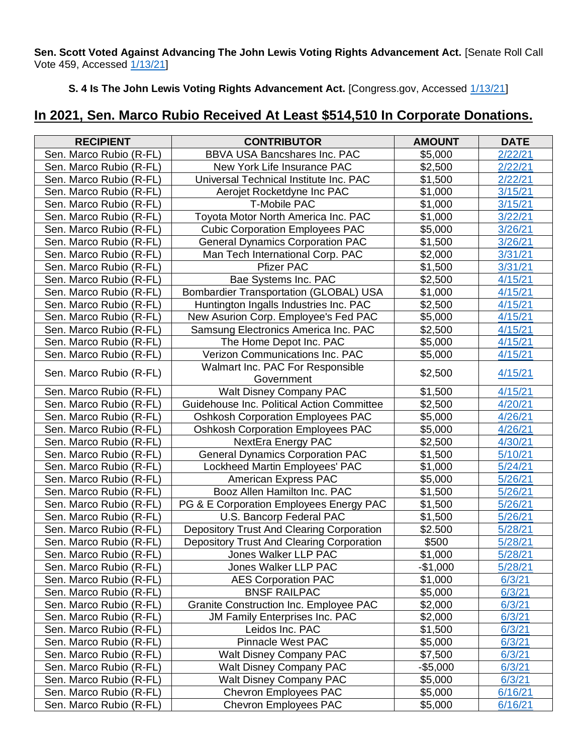**Sen. Scott Voted Against Advancing The John Lewis Voting Rights Advancement Act.** [Senate Roll Call Vote 459, Accessed [1/13/21\]](https://www.senate.gov/legislative/LIS/roll_call_lists/roll_call_vote_cfm.cfm?congress=117&session=1&vote=00459)

**S. 4 Is The John Lewis Voting Rights Advancement Act.** [Congress.gov, Accessed [1/13/21\]](https://www.congress.gov/bill/117th-congress/senate-bill/4)

## **In 2021, Sen. Marco Rubio Received At Least \$514,510 In Corporate Donations.**

| <b>RECIPIENT</b>        | <b>CONTRIBUTOR</b>                               | <b>AMOUNT</b> | <b>DATE</b> |
|-------------------------|--------------------------------------------------|---------------|-------------|
| Sen. Marco Rubio (R-FL) | <b>BBVA USA Bancshares Inc. PAC</b>              | \$5,000       | 2/22/21     |
| Sen. Marco Rubio (R-FL) | New York Life Insurance PAC                      | \$2,500       | 2/22/21     |
| Sen. Marco Rubio (R-FL) | Universal Technical Institute Inc. PAC           | \$1,500       | 2/22/21     |
| Sen. Marco Rubio (R-FL) | Aerojet Rocketdyne Inc PAC                       | \$1,000       | 3/15/21     |
| Sen. Marco Rubio (R-FL) | <b>T-Mobile PAC</b>                              | \$1,000       | 3/15/21     |
| Sen. Marco Rubio (R-FL) | Toyota Motor North America Inc. PAC              | \$1,000       | 3/22/21     |
| Sen. Marco Rubio (R-FL) | <b>Cubic Corporation Employees PAC</b>           | \$5,000       | 3/26/21     |
| Sen. Marco Rubio (R-FL) | <b>General Dynamics Corporation PAC</b>          | \$1,500       | 3/26/21     |
| Sen. Marco Rubio (R-FL) | Man Tech International Corp. PAC                 | \$2,000       | 3/31/21     |
| Sen. Marco Rubio (R-FL) | <b>Pfizer PAC</b>                                | \$1,500       | 3/31/21     |
| Sen. Marco Rubio (R-FL) | Bae Systems Inc. PAC                             | \$2,500       | 4/15/21     |
| Sen. Marco Rubio (R-FL) | <b>Bombardier Transportation (GLOBAL) USA</b>    | \$1,000       | 4/15/21     |
| Sen. Marco Rubio (R-FL) | Huntington Ingalls Industries Inc. PAC           | \$2,500       | 4/15/21     |
| Sen. Marco Rubio (R-FL) | New Asurion Corp. Employee's Fed PAC             | \$5,000       | 4/15/21     |
| Sen. Marco Rubio (R-FL) | Samsung Electronics America Inc. PAC             | \$2,500       | 4/15/21     |
| Sen. Marco Rubio (R-FL) | The Home Depot Inc. PAC                          | \$5,000       | 4/15/21     |
| Sen. Marco Rubio (R-FL) | Verizon Communications Inc. PAC                  | \$5,000       | 4/15/21     |
|                         | Walmart Inc. PAC For Responsible                 |               |             |
| Sen. Marco Rubio (R-FL) | Government                                       | \$2,500       | 4/15/21     |
| Sen. Marco Rubio (R-FL) | <b>Walt Disney Company PAC</b>                   | \$1,500       | 4/15/21     |
| Sen. Marco Rubio (R-FL) | Guidehouse Inc. Political Action Committee       | \$2,500       | 4/20/21     |
| Sen. Marco Rubio (R-FL) | <b>Oshkosh Corporation Employees PAC</b>         | \$5,000       | 4/26/21     |
| Sen. Marco Rubio (R-FL) | <b>Oshkosh Corporation Employees PAC</b>         | \$5,000       | 4/26/21     |
| Sen. Marco Rubio (R-FL) | <b>NextEra Energy PAC</b>                        | \$2,500       | 4/30/21     |
| Sen. Marco Rubio (R-FL) | <b>General Dynamics Corporation PAC</b>          | \$1,500       | 5/10/21     |
| Sen. Marco Rubio (R-FL) | Lockheed Martin Employees' PAC                   | \$1,000       | 5/24/21     |
| Sen. Marco Rubio (R-FL) | American Express PAC                             | \$5,000       | 5/26/21     |
| Sen. Marco Rubio (R-FL) | Booz Allen Hamilton Inc. PAC                     | \$1,500       | 5/26/21     |
| Sen. Marco Rubio (R-FL) | PG & E Corporation Employees Energy PAC          | \$1,500       | 5/26/21     |
| Sen. Marco Rubio (R-FL) | U.S. Bancorp Federal PAC                         | \$1,500       | 5/26/21     |
| Sen. Marco Rubio (R-FL) | <b>Depository Trust And Clearing Corporation</b> | \$2.500       | 5/28/21     |
| Sen. Marco Rubio (R-FL) | Depository Trust And Clearing Corporation        | \$500         | 5/28/21     |
| Sen. Marco Rubio (R-FL) | Jones Walker LLP PAC                             | \$1,000       | 5/28/21     |
| Sen. Marco Rubio (R-FL) | Jones Walker LLP PAC                             | $-$1,000$     | 5/28/21     |
| Sen. Marco Rubio (R-FL) | <b>AES Corporation PAC</b>                       | \$1,000       | 6/3/21      |
| Sen. Marco Rubio (R-FL) | <b>BNSF RAILPAC</b>                              | \$5,000       | 6/3/21      |
| Sen. Marco Rubio (R-FL) | Granite Construction Inc. Employee PAC           | \$2,000       | 6/3/21      |
| Sen. Marco Rubio (R-FL) | <b>JM Family Enterprises Inc. PAC</b>            | \$2,000       | 6/3/21      |
| Sen. Marco Rubio (R-FL) | Leidos Inc. PAC                                  | \$1,500       | 6/3/21      |
| Sen. Marco Rubio (R-FL) | <b>Pinnacle West PAC</b>                         | \$5,000       | 6/3/21      |
| Sen. Marco Rubio (R-FL) | <b>Walt Disney Company PAC</b>                   | \$7,500       | 6/3/21      |
| Sen. Marco Rubio (R-FL) | <b>Walt Disney Company PAC</b>                   | $-$5,000$     | 6/3/21      |
| Sen. Marco Rubio (R-FL) | <b>Walt Disney Company PAC</b>                   | \$5,000       | 6/3/21      |
| Sen. Marco Rubio (R-FL) | <b>Chevron Employees PAC</b>                     | \$5,000       | 6/16/21     |
| Sen. Marco Rubio (R-FL) | <b>Chevron Employees PAC</b>                     | \$5,000       | 6/16/21     |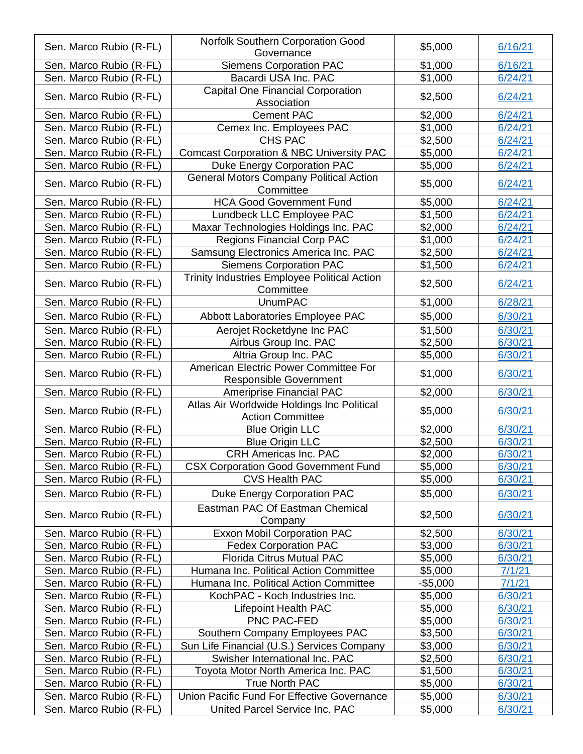| Sen. Marco Rubio (R-FL) | <b>Norfolk Southern Corporation Good</b>                               | \$5,000   | 6/16/21 |
|-------------------------|------------------------------------------------------------------------|-----------|---------|
|                         | Governance                                                             |           |         |
| Sen. Marco Rubio (R-FL) | <b>Siemens Corporation PAC</b>                                         | \$1,000   | 6/16/21 |
| Sen. Marco Rubio (R-FL) | Bacardi USA Inc. PAC                                                   | \$1,000   | 6/24/21 |
| Sen. Marco Rubio (R-FL) | <b>Capital One Financial Corporation</b><br>Association                | \$2,500   | 6/24/21 |
| Sen. Marco Rubio (R-FL) | <b>Cement PAC</b>                                                      | \$2,000   | 6/24/21 |
| Sen. Marco Rubio (R-FL) | Cemex Inc. Employees PAC                                               | \$1,000   | 6/24/21 |
| Sen. Marco Rubio (R-FL) | CHS PAC                                                                | \$2,500   | 6/24/21 |
| Sen. Marco Rubio (R-FL) | <b>Comcast Corporation &amp; NBC University PAC</b>                    | \$5,000   | 6/24/21 |
| Sen. Marco Rubio (R-FL) | <b>Duke Energy Corporation PAC</b>                                     | \$5,000   | 6/24/21 |
| Sen. Marco Rubio (R-FL) | <b>General Motors Company Political Action</b><br>Committee            | \$5,000   | 6/24/21 |
| Sen. Marco Rubio (R-FL) | <b>HCA Good Government Fund</b>                                        | \$5,000   | 6/24/21 |
| Sen. Marco Rubio (R-FL) | Lundbeck LLC Employee PAC                                              | \$1,500   | 6/24/21 |
| Sen. Marco Rubio (R-FL) | Maxar Technologies Holdings Inc. PAC                                   | \$2,000   | 6/24/21 |
| Sen. Marco Rubio (R-FL) | <b>Regions Financial Corp PAC</b>                                      | \$1,000   | 6/24/21 |
| Sen. Marco Rubio (R-FL) | Samsung Electronics America Inc. PAC                                   | \$2,500   | 6/24/21 |
| Sen. Marco Rubio (R-FL) | <b>Siemens Corporation PAC</b>                                         | \$1,500   | 6/24/21 |
|                         | <b>Trinity Industries Employee Political Action</b>                    |           |         |
| Sen. Marco Rubio (R-FL) | Committee                                                              | \$2,500   | 6/24/21 |
| Sen. Marco Rubio (R-FL) | <b>UnumPAC</b>                                                         | \$1,000   | 6/28/21 |
| Sen. Marco Rubio (R-FL) | Abbott Laboratories Employee PAC                                       | \$5,000   | 6/30/21 |
| Sen. Marco Rubio (R-FL) | Aerojet Rocketdyne Inc PAC                                             | \$1,500   | 6/30/21 |
| Sen. Marco Rubio (R-FL) | Airbus Group Inc. PAC                                                  | \$2,500   | 6/30/21 |
| Sen. Marco Rubio (R-FL) | Altria Group Inc. PAC                                                  | \$5,000   | 6/30/21 |
| Sen. Marco Rubio (R-FL) | American Electric Power Committee For<br><b>Responsible Government</b> | \$1,000   | 6/30/21 |
| Sen. Marco Rubio (R-FL) | Ameriprise Financial PAC                                               | \$2,000   | 6/30/21 |
|                         | Atlas Air Worldwide Holdings Inc Political                             |           |         |
| Sen. Marco Rubio (R-FL) | <b>Action Committee</b>                                                | \$5,000   | 6/30/21 |
| Sen. Marco Rubio (R-FL) | <b>Blue Origin LLC</b>                                                 | \$2,000   | 6/30/21 |
| Sen. Marco Rubio (R-FL) | <b>Blue Origin LLC</b>                                                 | \$2,500   | 6/30/21 |
| Sen. Marco Rubio (R-FL) | <b>CRH Americas Inc. PAC</b>                                           | \$2,000   | 6/30/21 |
| Sen. Marco Rubio (R-FL) | <b>CSX Corporation Good Government Fund</b>                            | \$5,000   | 6/30/21 |
| Sen. Marco Rubio (R-FL) | <b>CVS Health PAC</b>                                                  | \$5,000   | 6/30/21 |
| Sen. Marco Rubio (R-FL) | Duke Energy Corporation PAC                                            | \$5,000   | 6/30/21 |
| Sen. Marco Rubio (R-FL) | Eastman PAC Of Eastman Chemical<br>Company                             | \$2,500   | 6/30/21 |
| Sen. Marco Rubio (R-FL) | <b>Exxon Mobil Corporation PAC</b>                                     | \$2,500   | 6/30/21 |
| Sen. Marco Rubio (R-FL) | <b>Fedex Corporation PAC</b>                                           | \$3,000   | 6/30/21 |
| Sen. Marco Rubio (R-FL) | <b>Florida Citrus Mutual PAC</b>                                       | \$5,000   | 6/30/21 |
| Sen. Marco Rubio (R-FL) | Humana Inc. Political Action Committee                                 | \$5,000   | 7/1/21  |
| Sen. Marco Rubio (R-FL) | Humana Inc. Political Action Committee                                 | $-$5,000$ | 7/1/21  |
| Sen. Marco Rubio (R-FL) | KochPAC - Koch Industries Inc.                                         | \$5,000   | 6/30/21 |
| Sen. Marco Rubio (R-FL) | <b>Lifepoint Health PAC</b>                                            | \$5,000   | 6/30/21 |
| Sen. Marco Rubio (R-FL) | PNC PAC-FED                                                            | \$5,000   | 6/30/21 |
| Sen. Marco Rubio (R-FL) | Southern Company Employees PAC                                         | \$3,500   | 6/30/21 |
| Sen. Marco Rubio (R-FL) | Sun Life Financial (U.S.) Services Company                             | \$3,000   | 6/30/21 |
| Sen. Marco Rubio (R-FL) | Swisher International Inc. PAC                                         | \$2,500   | 6/30/21 |
| Sen. Marco Rubio (R-FL) | Toyota Motor North America Inc. PAC                                    | \$1,500   | 6/30/21 |
| Sen. Marco Rubio (R-FL) | <b>True North PAC</b>                                                  | \$5,000   | 6/30/21 |
| Sen. Marco Rubio (R-FL) | Union Pacific Fund For Effective Governance                            | \$5,000   | 6/30/21 |
| Sen. Marco Rubio (R-FL) | United Parcel Service Inc. PAC                                         | \$5,000   | 6/30/21 |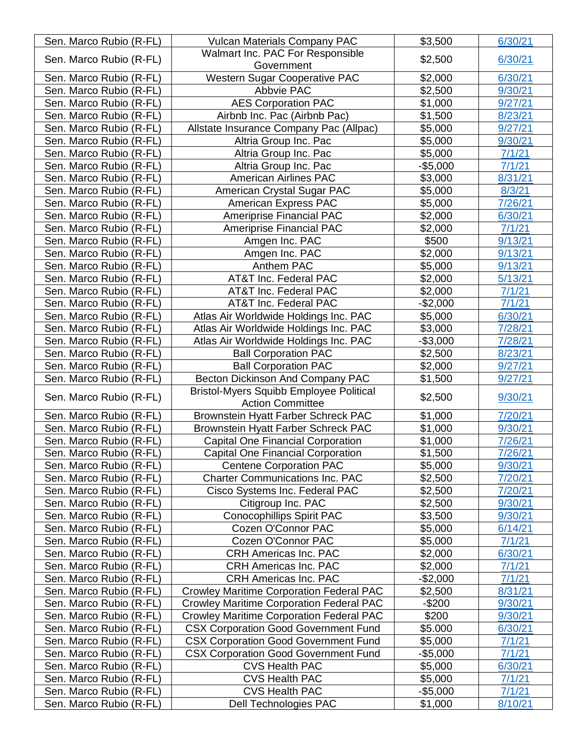| Sen. Marco Rubio (R-FL)                            | <b>Vulcan Materials Company PAC</b>                                  | \$3,500              | 6/30/21           |
|----------------------------------------------------|----------------------------------------------------------------------|----------------------|-------------------|
|                                                    | Walmart Inc. PAC For Responsible                                     |                      |                   |
| Sen. Marco Rubio (R-FL)                            | Government                                                           | \$2,500              | 6/30/21           |
| Sen. Marco Rubio (R-FL)                            | Western Sugar Cooperative PAC                                        | \$2,000              | 6/30/21           |
| Sen. Marco Rubio (R-FL)                            | Abbvie PAC                                                           | \$2,500              | 9/30/21           |
| Sen. Marco Rubio (R-FL)                            | <b>AES Corporation PAC</b>                                           | \$1,000              | 9/27/21           |
| Sen. Marco Rubio (R-FL)                            | Airbnb Inc. Pac (Airbnb Pac)                                         | \$1,500              | 8/23/21           |
| Sen. Marco Rubio (R-FL)                            | Allstate Insurance Company Pac (Allpac)                              | \$5,000              | 9/27/21           |
| Sen. Marco Rubio (R-FL)                            | Altria Group Inc. Pac                                                | \$5,000              | 9/30/21           |
| Sen. Marco Rubio (R-FL)                            | Altria Group Inc. Pac                                                | \$5,000              | 7/1/21            |
| Sen. Marco Rubio (R-FL)                            | Altria Group Inc. Pac                                                | $-$5,000$            | 7/1/21            |
| Sen. Marco Rubio (R-FL)                            | <b>American Airlines PAC</b>                                         | \$3,000              | 8/31/21           |
| Sen. Marco Rubio (R-FL)                            | American Crystal Sugar PAC                                           | \$5,000              | 8/3/21            |
| Sen. Marco Rubio (R-FL)                            | American Express PAC                                                 | \$5,000              | 7/26/21           |
| Sen. Marco Rubio (R-FL)                            | Ameriprise Financial PAC                                             | \$2,000              | 6/30/21           |
| Sen. Marco Rubio (R-FL)                            | <b>Ameriprise Financial PAC</b>                                      | \$2,000              | 7/1/21            |
| Sen. Marco Rubio (R-FL)                            | Amgen Inc. PAC                                                       | \$500                | 9/13/21           |
| Sen. Marco Rubio (R-FL)                            | Amgen Inc. PAC                                                       | \$2,000              | 9/13/21           |
| Sen. Marco Rubio (R-FL)                            | Anthem PAC                                                           | \$5,000              | 9/13/21           |
| Sen. Marco Rubio (R-FL)                            | AT&T Inc. Federal PAC                                                | \$2,000              | 5/13/21           |
| Sen. Marco Rubio (R-FL)                            | <b>AT&amp;T Inc. Federal PAC</b>                                     | \$2,000              | 7/1/21            |
| Sen. Marco Rubio (R-FL)                            | AT&T Inc. Federal PAC                                                | $-$2,000$            | 7/1/21            |
| Sen. Marco Rubio (R-FL)                            | Atlas Air Worldwide Holdings Inc. PAC                                | \$5,000              | 6/30/21           |
| Sen. Marco Rubio (R-FL)                            | Atlas Air Worldwide Holdings Inc. PAC                                | \$3,000              | 7/28/21           |
| Sen. Marco Rubio (R-FL)                            | Atlas Air Worldwide Holdings Inc. PAC                                | $-$3,000$            | 7/28/21           |
| Sen. Marco Rubio (R-FL)                            | <b>Ball Corporation PAC</b>                                          | \$2,500              | 8/23/21           |
| Sen. Marco Rubio (R-FL)                            | <b>Ball Corporation PAC</b>                                          | \$2,000              | 9/27/21           |
| Sen. Marco Rubio (R-FL)                            | Becton Dickinson And Company PAC                                     | \$1,500              | 9/27/21           |
| Sen. Marco Rubio (R-FL)                            | <b>Bristol-Myers Squibb Employee Political</b>                       | \$2,500              | 9/30/21           |
|                                                    | <b>Action Committee</b>                                              |                      |                   |
| Sen. Marco Rubio (R-FL)                            | Brownstein Hyatt Farber Schreck PAC                                  | \$1,000              | 7/20/21           |
| Sen. Marco Rubio (R-FL)                            | <b>Brownstein Hyatt Farber Schreck PAC</b>                           | \$1,000              | 9/30/21           |
| Sen. Marco Rubio (R-FL)                            | <b>Capital One Financial Corporation</b>                             | \$1,000              | 7/26/21           |
| Sen. Marco Rubio (R-FL)                            | <b>Capital One Financial Corporation</b>                             | \$1,500              | 7/26/21           |
| Sen. Marco Rubio (R-FL)                            | <b>Centene Corporation PAC</b>                                       | \$5,000              | 9/30/21           |
| Sen. Marco Rubio (R-FL)                            | <b>Charter Communications Inc. PAC</b>                               | \$2,500              | 7/20/21           |
| Sen. Marco Rubio (R-FL)                            | Cisco Systems Inc. Federal PAC                                       | \$2,500              | 7/20/21           |
| Sen. Marco Rubio (R-FL)                            | Citigroup Inc. PAC                                                   | \$2,500              | 9/30/21           |
| Sen. Marco Rubio (R-FL)                            | <b>Conocophillips Spirit PAC</b>                                     | \$3,500              | 9/30/21           |
| Sen. Marco Rubio (R-FL)                            | Cozen O'Connor PAC                                                   | \$5,000              | 6/14/21           |
| Sen. Marco Rubio (R-FL)                            | Cozen O'Connor PAC                                                   | \$5,000              | 7/1/21            |
| Sen. Marco Rubio (R-FL)                            | <b>CRH Americas Inc. PAC</b>                                         | \$2,000              | 6/30/21           |
| Sen. Marco Rubio (R-FL)                            | <b>CRH Americas Inc. PAC</b>                                         | \$2,000              | 7/1/21            |
| Sen. Marco Rubio (R-FL)                            | <b>CRH Americas Inc. PAC</b>                                         | $-$2,000$            | 7/1/21            |
| Sen. Marco Rubio (R-FL)                            | <b>Crowley Maritime Corporation Federal PAC</b>                      | \$2,500              | 8/31/21           |
| Sen. Marco Rubio (R-FL)                            | Crowley Maritime Corporation Federal PAC                             | $-$200$              | 9/30/21           |
| Sen. Marco Rubio (R-FL)                            | <b>Crowley Maritime Corporation Federal PAC</b>                      | \$200                | 9/30/21           |
| Sen. Marco Rubio (R-FL)                            | <b>CSX Corporation Good Government Fund</b>                          | \$5.000              | 6/30/21           |
| Sen. Marco Rubio (R-FL)<br>Sen. Marco Rubio (R-FL) | <b>CSX Corporation Good Government Fund</b>                          | \$5,000              | 7/1/21            |
| Sen. Marco Rubio (R-FL)                            | <b>CSX Corporation Good Government Fund</b><br><b>CVS Health PAC</b> | $-$5,000$<br>\$5,000 | 7/1/21<br>6/30/21 |
| Sen. Marco Rubio (R-FL)                            | <b>CVS Health PAC</b>                                                | \$5,000              | 7/1/21            |
| Sen. Marco Rubio (R-FL)                            | <b>CVS Health PAC</b>                                                | $-$5,000$            | 7/1/21            |
| Sen. Marco Rubio (R-FL)                            | Dell Technologies PAC                                                | \$1,000              | 8/10/21           |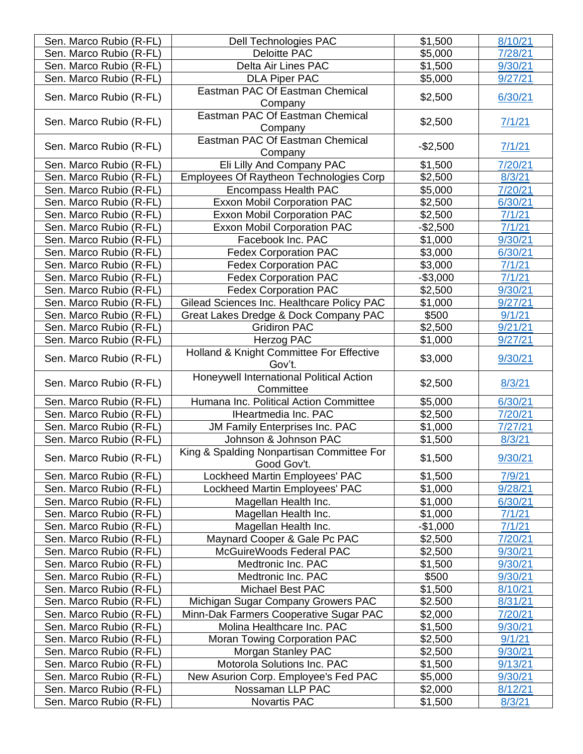| Sen. Marco Rubio (R-FL) | <b>Dell Technologies PAC</b>                             | \$1,500   | 8/10/21 |
|-------------------------|----------------------------------------------------------|-----------|---------|
| Sen. Marco Rubio (R-FL) | <b>Deloitte PAC</b>                                      | \$5,000   | 7/28/21 |
| Sen. Marco Rubio (R-FL) | Delta Air Lines PAC                                      | \$1,500   | 9/30/21 |
| Sen. Marco Rubio (R-FL) | <b>DLA Piper PAC</b>                                     | \$5,000   | 9/27/21 |
| Sen. Marco Rubio (R-FL) | Eastman PAC Of Eastman Chemical                          | \$2,500   | 6/30/21 |
|                         | Company                                                  |           |         |
| Sen. Marco Rubio (R-FL) | Eastman PAC Of Eastman Chemical                          | \$2,500   | 7/1/21  |
|                         | Company                                                  |           |         |
| Sen. Marco Rubio (R-FL) | Eastman PAC Of Eastman Chemical                          | $-$2,500$ |         |
|                         | Company                                                  |           | 7/1/21  |
| Sen. Marco Rubio (R-FL) | Eli Lilly And Company PAC                                | \$1,500   | 7/20/21 |
| Sen. Marco Rubio (R-FL) | Employees Of Raytheon Technologies Corp                  | \$2,500   | 8/3/21  |
| Sen. Marco Rubio (R-FL) | Encompass Health PAC                                     | \$5,000   | 7/20/21 |
| Sen. Marco Rubio (R-FL) | <b>Exxon Mobil Corporation PAC</b>                       | \$2,500   | 6/30/21 |
| Sen. Marco Rubio (R-FL) | <b>Exxon Mobil Corporation PAC</b>                       | \$2,500   | 7/1/21  |
| Sen. Marco Rubio (R-FL) | <b>Exxon Mobil Corporation PAC</b>                       | $-$2,500$ | 7/1/21  |
| Sen. Marco Rubio (R-FL) | Facebook Inc. PAC                                        | \$1,000   | 9/30/21 |
| Sen. Marco Rubio (R-FL) | <b>Fedex Corporation PAC</b>                             | \$3,000   | 6/30/21 |
| Sen. Marco Rubio (R-FL) | <b>Fedex Corporation PAC</b>                             | \$3,000   | 7/1/21  |
| Sen. Marco Rubio (R-FL) | <b>Fedex Corporation PAC</b>                             | $-$3,000$ | 7/1/21  |
| Sen. Marco Rubio (R-FL) | <b>Fedex Corporation PAC</b>                             | \$2,500   | 9/30/21 |
| Sen. Marco Rubio (R-FL) | Gilead Sciences Inc. Healthcare Policy PAC               | \$1,000   | 9/27/21 |
| Sen. Marco Rubio (R-FL) | Great Lakes Dredge & Dock Company PAC                    | \$500     | 9/1/21  |
| Sen. Marco Rubio (R-FL) | <b>Gridiron PAC</b>                                      | \$2,500   | 9/21/21 |
| Sen. Marco Rubio (R-FL) | Herzog PAC                                               | \$1,000   | 9/27/21 |
| Sen. Marco Rubio (R-FL) | Holland & Knight Committee For Effective<br>Gov't.       | \$3,000   | 9/30/21 |
| Sen. Marco Rubio (R-FL) | Honeywell International Political Action<br>Committee    | \$2,500   | 8/3/21  |
| Sen. Marco Rubio (R-FL) | Humana Inc. Political Action Committee                   | \$5,000   | 6/30/21 |
| Sen. Marco Rubio (R-FL) | <b>IHeartmedia Inc. PAC</b>                              | \$2,500   | 7/20/21 |
| Sen. Marco Rubio (R-FL) | JM Family Enterprises Inc. PAC                           | \$1,000   | 7/27/21 |
| Sen. Marco Rubio (R-FL) | Johnson & Johnson PAC                                    | \$1,500   | 8/3/21  |
| Sen. Marco Rubio (R-FL) | King & Spalding Nonpartisan Committee For<br>Good Gov't. | \$1,500   | 9/30/21 |
| Sen. Marco Rubio (R-FL) | Lockheed Martin Employees' PAC                           | \$1,500   | 7/9/21  |
| Sen. Marco Rubio (R-FL) | Lockheed Martin Employees' PAC                           | \$1,000   | 9/28/21 |
| Sen. Marco Rubio (R-FL) | Magellan Health Inc.                                     | \$1,000   | 6/30/21 |
| Sen. Marco Rubio (R-FL) | Magellan Health Inc.                                     | \$1,000   | 7/1/21  |
| Sen. Marco Rubio (R-FL) | Magellan Health Inc.                                     | $-$1,000$ | 7/1/21  |
| Sen. Marco Rubio (R-FL) | Maynard Cooper & Gale Pc PAC                             | \$2,500   | 7/20/21 |
| Sen. Marco Rubio (R-FL) | McGuireWoods Federal PAC                                 | \$2,500   | 9/30/21 |
| Sen. Marco Rubio (R-FL) | Medtronic Inc. PAC                                       | \$1,500   | 9/30/21 |
| Sen. Marco Rubio (R-FL) | Medtronic Inc. PAC                                       | \$500     | 9/30/21 |
| Sen. Marco Rubio (R-FL) | <b>Michael Best PAC</b>                                  | \$1,500   | 8/10/21 |
| Sen. Marco Rubio (R-FL) | Michigan Sugar Company Growers PAC                       | \$2.500   | 8/31/21 |
| Sen. Marco Rubio (R-FL) | Minn-Dak Farmers Cooperative Sugar PAC                   | \$2,000   | 7/20/21 |
| Sen. Marco Rubio (R-FL) | Molina Healthcare Inc. PAC                               | \$1,500   | 9/30/21 |
| Sen. Marco Rubio (R-FL) | Moran Towing Corporation PAC                             | \$2,500   | 9/1/21  |
| Sen. Marco Rubio (R-FL) | Morgan Stanley PAC                                       | \$2,500   | 9/30/21 |
| Sen. Marco Rubio (R-FL) | Motorola Solutions Inc. PAC                              | \$1,500   | 9/13/21 |
| Sen. Marco Rubio (R-FL) | New Asurion Corp. Employee's Fed PAC                     | \$5,000   | 9/30/21 |
| Sen. Marco Rubio (R-FL) | Nossaman LLP PAC                                         | \$2,000   | 8/12/21 |
| Sen. Marco Rubio (R-FL) | Novartis PAC                                             | \$1,500   | 8/3/21  |
|                         |                                                          |           |         |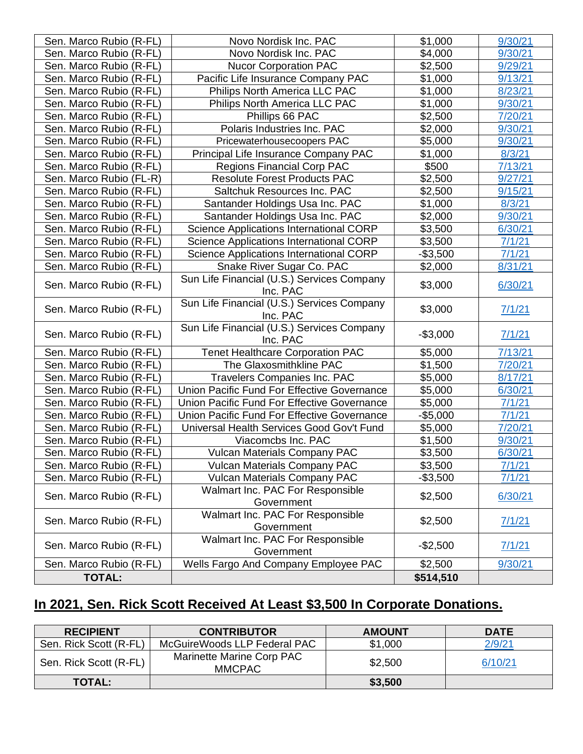| Sen. Marco Rubio (R-FL) | Novo Nordisk Inc. PAC                                  | \$1,000   | 9/30/21 |
|-------------------------|--------------------------------------------------------|-----------|---------|
| Sen. Marco Rubio (R-FL) | Novo Nordisk Inc. PAC                                  | \$4,000   | 9/30/21 |
| Sen. Marco Rubio (R-FL) | <b>Nucor Corporation PAC</b>                           | \$2,500   | 9/29/21 |
| Sen. Marco Rubio (R-FL) | Pacific Life Insurance Company PAC                     | \$1,000   | 9/13/21 |
| Sen. Marco Rubio (R-FL) | Philips North America LLC PAC                          | \$1,000   | 8/23/21 |
| Sen. Marco Rubio (R-FL) | Philips North America LLC PAC                          | \$1,000   | 9/30/21 |
| Sen. Marco Rubio (R-FL) | Phillips 66 PAC                                        | \$2,500   | 7/20/21 |
| Sen. Marco Rubio (R-FL) | Polaris Industries Inc. PAC                            | \$2,000   | 9/30/21 |
| Sen. Marco Rubio (R-FL) | Pricewaterhousecoopers PAC                             | \$5,000   | 9/30/21 |
| Sen. Marco Rubio (R-FL) | Principal Life Insurance Company PAC                   | \$1,000   | 8/3/21  |
| Sen. Marco Rubio (R-FL) | <b>Regions Financial Corp PAC</b>                      | \$500     | 7/13/21 |
| Sen. Marco Rubio (FL-R) | <b>Resolute Forest Products PAC</b>                    | \$2,500   | 9/27/21 |
| Sen. Marco Rubio (R-FL) | Saltchuk Resources Inc. PAC                            | \$2,500   | 9/15/21 |
| Sen. Marco Rubio (R-FL) | Santander Holdings Usa Inc. PAC                        | \$1,000   | 8/3/21  |
| Sen. Marco Rubio (R-FL) | Santander Holdings Usa Inc. PAC                        | \$2,000   | 9/30/21 |
| Sen. Marco Rubio (R-FL) | Science Applications International CORP                | \$3,500   | 6/30/21 |
| Sen. Marco Rubio (R-FL) | Science Applications International CORP                | \$3,500   | 7/1/21  |
| Sen. Marco Rubio (R-FL) | Science Applications International CORP                | $-$3,500$ | 7/1/21  |
| Sen. Marco Rubio (R-FL) | Snake River Sugar Co. PAC                              | \$2,000   | 8/31/21 |
| Sen. Marco Rubio (R-FL) | Sun Life Financial (U.S.) Services Company<br>Inc. PAC | \$3,000   | 6/30/21 |
| Sen. Marco Rubio (R-FL) | Sun Life Financial (U.S.) Services Company<br>Inc. PAC | \$3,000   | 7/1/21  |
| Sen. Marco Rubio (R-FL) | Sun Life Financial (U.S.) Services Company<br>Inc. PAC | $-$3,000$ | 7/1/21  |
| Sen. Marco Rubio (R-FL) | <b>Tenet Healthcare Corporation PAC</b>                | \$5,000   | 7/13/21 |
| Sen. Marco Rubio (R-FL) | The Glaxosmithkline PAC                                | \$1,500   | 7/20/21 |
| Sen. Marco Rubio (R-FL) | Travelers Companies Inc. PAC                           | \$5,000   | 8/17/21 |
| Sen. Marco Rubio (R-FL) | Union Pacific Fund For Effective Governance            | \$5,000   | 6/30/21 |
| Sen. Marco Rubio (R-FL) | Union Pacific Fund For Effective Governance            | \$5,000   | 7/1/21  |
| Sen. Marco Rubio (R-FL) | Union Pacific Fund For Effective Governance            | $-$5,000$ | 7/1/21  |
| Sen. Marco Rubio (R-FL) | Universal Health Services Good Gov't Fund              | \$5,000   | 7/20/21 |
| Sen. Marco Rubio (R-FL) | Viacomcbs Inc. PAC                                     | \$1,500   | 9/30/21 |
| Sen. Marco Rubio (R-FL) | <b>Vulcan Materials Company PAC</b>                    | \$3,500   | 6/30/21 |
| Sen. Marco Rubio (R-FL) | <b>Vulcan Materials Company PAC</b>                    | \$3,500   | 7/1/21  |
| Sen. Marco Rubio (R-FL) | <b>Vulcan Materials Company PAC</b>                    | $-$3,500$ | 7/1/21  |
| Sen. Marco Rubio (R-FL) | Walmart Inc. PAC For Responsible<br>Government         | \$2,500   | 6/30/21 |
| Sen. Marco Rubio (R-FL) | Walmart Inc. PAC For Responsible<br>Government         | \$2,500   | 7/1/21  |
| Sen. Marco Rubio (R-FL) | Walmart Inc. PAC For Responsible<br>Government         | $-$2,500$ | 7/1/21  |
| Sen. Marco Rubio (R-FL) | Wells Fargo And Company Employee PAC                   | \$2,500   | 9/30/21 |
| <b>TOTAL:</b>           |                                                        | \$514,510 |         |

# **In 2021, Sen. Rick Scott Received At Least \$3,500 In Corporate Donations.**

| <b>RECIPIENT</b>       | <b>CONTRIBUTOR</b>                         | <b>AMOUNT</b> | <b>DATE</b> |
|------------------------|--------------------------------------------|---------------|-------------|
| Sen. Rick Scott (R-FL) | McGuireWoods LLP Federal PAC               | \$1,000       | 2/9/21      |
| Sen. Rick Scott (R-FL) | Marinette Marine Corp PAC<br><b>MMCPAC</b> | \$2,500       | 6/10/21     |
| <b>TOTAL:</b>          |                                            | \$3,500       |             |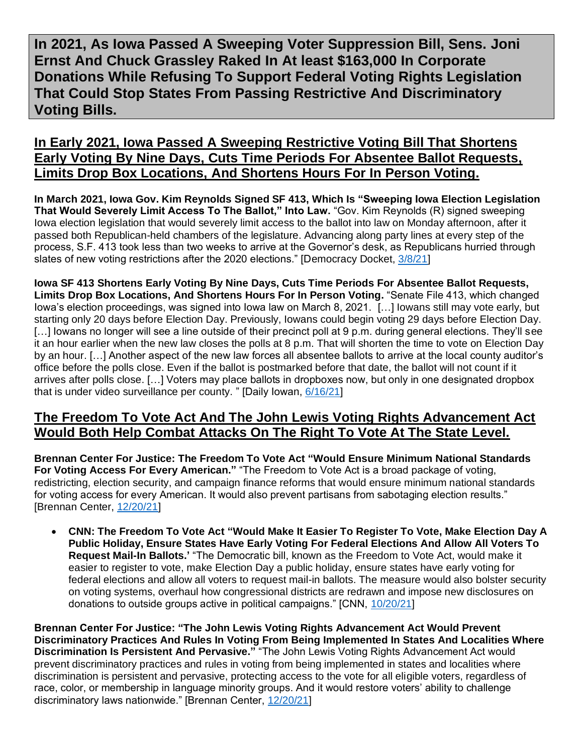**In 2021, As Iowa Passed A Sweeping Voter Suppression Bill, Sens. Joni Ernst And Chuck Grassley Raked In At least \$163,000 In Corporate Donations While Refusing To Support Federal Voting Rights Legislation That Could Stop States From Passing Restrictive And Discriminatory Voting Bills.** 

### **In Early 2021, Iowa Passed A Sweeping Restrictive Voting Bill That Shortens Early Voting By Nine Days, Cuts Time Periods For Absentee Ballot Requests, Limits Drop Box Locations, And Shortens Hours For In Person Voting.**

**In March 2021, Iowa Gov. Kim Reynolds Signed SF 413, Which Is "Sweeping Iowa Election Legislation That Would Severely Limit Access To The Ballot," Into Law.** "Gov. Kim Reynolds (R) signed sweeping Iowa election legislation that would severely limit access to the ballot into law on Monday afternoon, after it passed both Republican-held chambers of the legislature. Advancing along party lines at every step of the process, S.F. 413 took less than two weeks to arrive at the Governor's desk, as Republicans hurried through slates of new voting restrictions after the 2020 elections." [Democracy Docket, [3/8/21\]](https://www.democracydocket.com/alerts/legislation-alert-iowa-governor-signs-sweeping-voter-suppression-legislation-into-law/)

**Iowa SF 413 Shortens Early Voting By Nine Days, Cuts Time Periods For Absentee Ballot Requests, Limits Drop Box Locations, And Shortens Hours For In Person Voting.** "Senate File 413, which changed Iowa's election proceedings, was signed into Iowa law on March 8, 2021. […] Iowans still may vote early, but starting only 20 days before Election Day. Previously, Iowans could begin voting 29 days before Election Day. [...] lowans no longer will see a line outside of their precinct poll at 9 p.m. during general elections. They'll see it an hour earlier when the new law closes the polls at 8 p.m. That will shorten the time to vote on Election Day by an hour. […] Another aspect of the new law forces all absentee ballots to arrive at the local county auditor's office before the polls close. Even if the ballot is postmarked before that date, the ballot will not count if it arrives after polls close. […] Voters may place ballots in dropboxes now, but only in one designated dropbox that is under video surveillance per county. " [Daily Iowan, [6/16/21\]](https://dailyiowan.com/2021/06/16/breaking-down-iowas-newest-election-laws/)

#### **The Freedom To Vote Act And The John Lewis Voting Rights Advancement Act Would Both Help Combat Attacks On The Right To Vote At The State Level.**

**Brennan Center For Justice: The Freedom To Vote Act "Would Ensure Minimum National Standards For Voting Access For Every American."** "The Freedom to Vote Act is a broad package of voting, redistricting, election security, and campaign finance reforms that would ensure minimum national standards for voting access for every American. It would also prevent partisans from sabotaging election results." [Brennan Center, [12/20/21\]](https://www.brennancenter.org/our-work/research-reports/voting-laws-roundup-december-2021)

• **CNN: The Freedom To Vote Act "Would Make It Easier To Register To Vote, Make Election Day A Public Holiday, Ensure States Have Early Voting For Federal Elections And Allow All Voters To Request Mail-In Ballots.'** "The Democratic bill, known as the Freedom to Vote Act, would make it easier to register to vote, make Election Day a public holiday, ensure states have early voting for federal elections and allow all voters to request mail-in ballots. The measure would also bolster security on voting systems, overhaul how congressional districts are redrawn and impose new disclosures on donations to outside groups active in political campaigns." [CNN, [10/20/21\]](https://www.cnn.com/2021/10/20/politics/senate-freedom-to-vote-act-republicans/index.html)

**Brennan Center For Justice: "The John Lewis Voting Rights Advancement Act Would Prevent Discriminatory Practices And Rules In Voting From Being Implemented In States And Localities Where Discrimination Is Persistent And Pervasive."** "The John Lewis Voting Rights Advancement Act would prevent discriminatory practices and rules in voting from being implemented in states and localities where discrimination is persistent and pervasive, protecting access to the vote for all eligible voters, regardless of race, color, or membership in language minority groups. And it would restore voters' ability to challenge discriminatory laws nationwide." [Brennan Center, [12/20/21\]](https://www.brennancenter.org/our-work/research-reports/voting-laws-roundup-december-2021)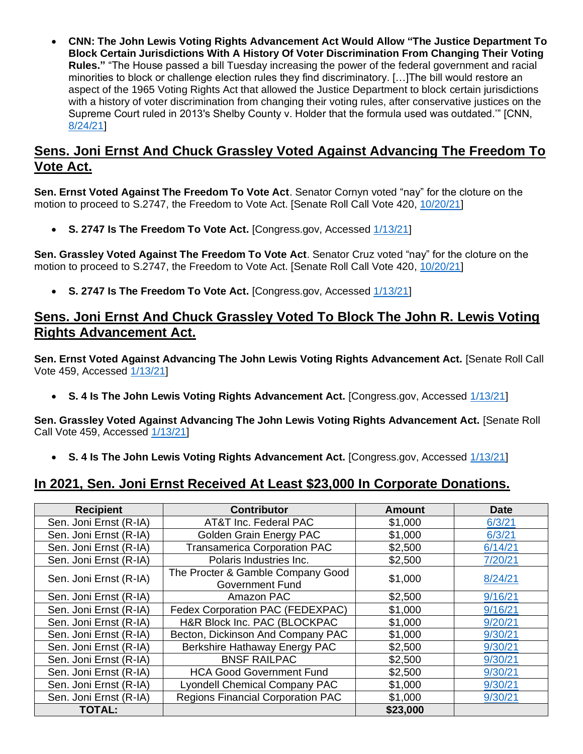• **CNN: The John Lewis Voting Rights Advancement Act Would Allow "The Justice Department To Block Certain Jurisdictions With A History Of Voter Discrimination From Changing Their Voting Rules."** "The House passed a bill Tuesday increasing the power of the federal government and racial minorities to block or challenge election rules they find discriminatory. […]The bill would restore an aspect of the 1965 Voting Rights Act that allowed the Justice Department to block certain jurisdictions with a history of voter discrimination from changing their voting rules, after conservative justices on the Supreme Court ruled in 2013's Shelby County v. Holder that the formula used was outdated.'" [CNN, [8/24/21\]](https://www.cnn.com/2021/08/24/politics/john-lewis-voting-rights-advancements-act-house/index.html)

### **Sens. Joni Ernst And Chuck Grassley Voted Against Advancing The Freedom To Vote Act.**

**Sen. Ernst Voted Against The Freedom To Vote Act**. Senator Cornyn voted "nay" for the cloture on the motion to proceed to S.2747, the Freedom to Vote Act. [Senate Roll Call Vote 420, [10/20/21\]](https://www.senate.gov/legislative/LIS/roll_call_votes/vote1171/vote_117_1_00420.htm)

• **S. 2747 Is The Freedom To Vote Act.** [Congress.gov, Accessed [1/13/21\]](https://www.congress.gov/bill/117th-congress/senate-bill/2747?s=1&r=19)

**Sen. Grassley Voted Against The Freedom To Vote Act**. Senator Cruz voted "nay" for the cloture on the motion to proceed to S.2747, the Freedom to Vote Act. [Senate Roll Call Vote 420, [10/20/21\]](https://www.senate.gov/legislative/LIS/roll_call_votes/vote1171/vote_117_1_00420.htm)

• **S. 2747 Is The Freedom To Vote Act.** [Congress.gov, Accessed [1/13/21\]](https://www.congress.gov/bill/117th-congress/senate-bill/2747?s=1&r=19)

#### **Sens. Joni Ernst And Chuck Grassley Voted To Block The John R. Lewis Voting Rights Advancement Act.**

**Sen. Ernst Voted Against Advancing The John Lewis Voting Rights Advancement Act.** [Senate Roll Call Vote 459, Accessed [1/13/21\]](https://www.senate.gov/legislative/LIS/roll_call_lists/roll_call_vote_cfm.cfm?congress=117&session=1&vote=00459)

• **S. 4 Is The John Lewis Voting Rights Advancement Act.** [Congress.gov, Accessed [1/13/21\]](https://www.congress.gov/bill/117th-congress/senate-bill/4)

**Sen. Grassley Voted Against Advancing The John Lewis Voting Rights Advancement Act.** [Senate Roll Call Vote 459, Accessed [1/13/21\]](https://www.senate.gov/legislative/LIS/roll_call_lists/roll_call_vote_cfm.cfm?congress=117&session=1&vote=00459)

• **S. 4 Is The John Lewis Voting Rights Advancement Act.** [Congress.gov, Accessed [1/13/21\]](https://www.congress.gov/bill/117th-congress/senate-bill/4)

## **In 2021, Sen. Joni Ernst Received At Least \$23,000 In Corporate Donations.**

| <b>Recipient</b>       | <b>Contributor</b>                                          | Amount   | <b>Date</b> |
|------------------------|-------------------------------------------------------------|----------|-------------|
| Sen. Joni Ernst (R-IA) | AT&T Inc. Federal PAC                                       | \$1,000  | 6/3/21      |
| Sen. Joni Ernst (R-IA) | Golden Grain Energy PAC                                     | \$1,000  | 6/3/21      |
| Sen. Joni Ernst (R-IA) | <b>Transamerica Corporation PAC</b>                         | \$2,500  | 6/14/21     |
| Sen. Joni Ernst (R-IA) | Polaris Industries Inc.                                     | \$2,500  | 7/20/21     |
| Sen. Joni Ernst (R-IA) | The Procter & Gamble Company Good<br><b>Government Fund</b> | \$1,000  | 8/24/21     |
| Sen. Joni Ernst (R-IA) | Amazon PAC                                                  | \$2,500  | 9/16/21     |
| Sen. Joni Ernst (R-IA) | Fedex Corporation PAC (FEDEXPAC)                            | \$1,000  | 9/16/21     |
| Sen. Joni Ernst (R-IA) | H&R Block Inc. PAC (BLOCKPAC                                | \$1,000  | 9/20/21     |
| Sen. Joni Ernst (R-IA) | Becton, Dickinson And Company PAC                           | \$1,000  | 9/30/21     |
| Sen. Joni Ernst (R-IA) | Berkshire Hathaway Energy PAC                               | \$2,500  | 9/30/21     |
| Sen. Joni Ernst (R-IA) | <b>BNSF RAILPAC</b>                                         | \$2,500  | 9/30/21     |
| Sen. Joni Ernst (R-IA) | <b>HCA Good Government Fund</b>                             | \$2,500  | 9/30/21     |
| Sen. Joni Ernst (R-IA) | <b>Lyondell Chemical Company PAC</b>                        | \$1,000  | 9/30/21     |
| Sen. Joni Ernst (R-IA) | <b>Regions Financial Corporation PAC</b>                    | \$1,000  | 9/30/21     |
| <b>TOTAL:</b>          |                                                             | \$23,000 |             |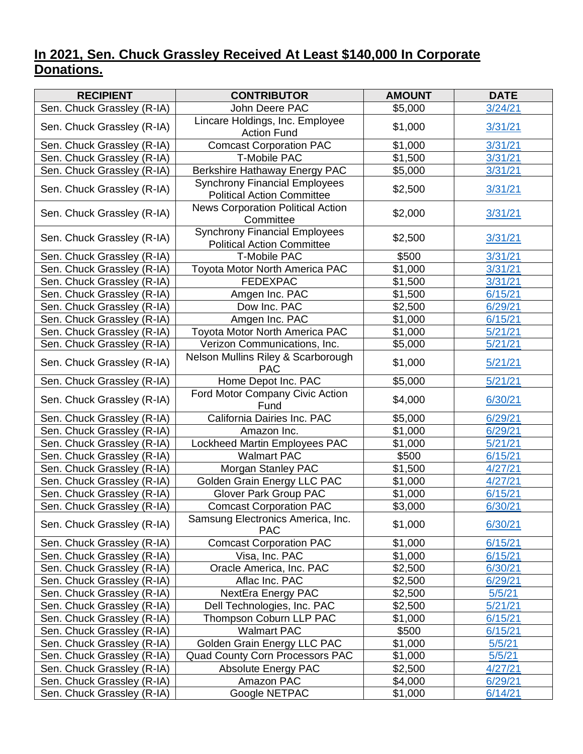## **In 2021, Sen. Chuck Grassley Received At Least \$140,000 In Corporate Donations.**

| <b>RECIPIENT</b>           | <b>CONTRIBUTOR</b>                                                        | <b>AMOUNT</b> | <b>DATE</b> |
|----------------------------|---------------------------------------------------------------------------|---------------|-------------|
| Sen. Chuck Grassley (R-IA) | John Deere PAC                                                            | \$5,000       | 3/24/21     |
| Sen. Chuck Grassley (R-IA) | Lincare Holdings, Inc. Employee<br><b>Action Fund</b>                     | \$1,000       | 3/31/21     |
| Sen. Chuck Grassley (R-IA) | <b>Comcast Corporation PAC</b>                                            | \$1,000       | 3/31/21     |
| Sen. Chuck Grassley (R-IA) | <b>T-Mobile PAC</b>                                                       | \$1,500       | 3/31/21     |
| Sen. Chuck Grassley (R-IA) | Berkshire Hathaway Energy PAC                                             | \$5,000       | 3/31/21     |
| Sen. Chuck Grassley (R-IA) | <b>Synchrony Financial Employees</b><br><b>Political Action Committee</b> | \$2,500       | 3/31/21     |
| Sen. Chuck Grassley (R-IA) | <b>News Corporation Political Action</b><br>Committee                     | \$2,000       | 3/31/21     |
| Sen. Chuck Grassley (R-IA) | <b>Synchrony Financial Employees</b><br><b>Political Action Committee</b> | \$2,500       | 3/31/21     |
| Sen. Chuck Grassley (R-IA) | <b>T-Mobile PAC</b>                                                       | \$500         | 3/31/21     |
| Sen. Chuck Grassley (R-IA) | Toyota Motor North America PAC                                            | \$1,000       | 3/31/21     |
| Sen. Chuck Grassley (R-IA) | <b>FEDEXPAC</b>                                                           | \$1,500       | 3/31/21     |
| Sen. Chuck Grassley (R-IA) | Amgen Inc. PAC                                                            | \$1,500       | 6/15/21     |
| Sen. Chuck Grassley (R-IA) | Dow Inc. PAC                                                              | \$2,500       | 6/29/21     |
| Sen. Chuck Grassley (R-IA) | Amgen Inc. PAC                                                            | \$1,000       | 6/15/21     |
| Sen. Chuck Grassley (R-IA) | Toyota Motor North America PAC                                            | \$1,000       | 5/21/21     |
| Sen. Chuck Grassley (R-IA) | Verizon Communications, Inc.                                              | \$5,000       | 5/21/21     |
| Sen. Chuck Grassley (R-IA) | Nelson Mullins Riley & Scarborough<br><b>PAC</b>                          | \$1,000       | 5/21/21     |
| Sen. Chuck Grassley (R-IA) | Home Depot Inc. PAC                                                       | \$5,000       | 5/21/21     |
| Sen. Chuck Grassley (R-IA) | Ford Motor Company Civic Action<br>Fund                                   | \$4,000       | 6/30/21     |
| Sen. Chuck Grassley (R-IA) | California Dairies Inc. PAC                                               | \$5,000       | 6/29/21     |
| Sen. Chuck Grassley (R-IA) | Amazon Inc.                                                               | \$1,000       | 6/29/21     |
| Sen. Chuck Grassley (R-IA) | Lockheed Martin Employees PAC                                             | \$1,000       | 5/21/21     |
| Sen. Chuck Grassley (R-IA) | <b>Walmart PAC</b>                                                        | \$500         | 6/15/21     |
| Sen. Chuck Grassley (R-IA) | Morgan Stanley PAC                                                        | \$1,500       | 4/27/21     |
| Sen. Chuck Grassley (R-IA) | Golden Grain Energy LLC PAC                                               | \$1,000       | 4/27/21     |
| Sen. Chuck Grassley (R-IA) | <b>Glover Park Group PAC</b>                                              | \$1,000       | 6/15/21     |
| Sen. Chuck Grassley (R-IA) | <b>Comcast Corporation PAC</b>                                            | \$3,000       | 6/30/21     |
| Sen. Chuck Grassley (R-IA) | Samsung Electronics America, Inc.<br><b>PAC</b>                           | \$1,000       | 6/30/21     |
| Sen. Chuck Grassley (R-IA) | <b>Comcast Corporation PAC</b>                                            | \$1,000       | 6/15/21     |
| Sen. Chuck Grassley (R-IA) | Visa, Inc. PAC                                                            | \$1,000       | 6/15/21     |
| Sen. Chuck Grassley (R-IA) | Oracle America, Inc. PAC                                                  | \$2,500       | 6/30/21     |
| Sen. Chuck Grassley (R-IA) | Aflac Inc. PAC                                                            | \$2,500       | 6/29/21     |
| Sen. Chuck Grassley (R-IA) | <b>NextEra Energy PAC</b>                                                 | \$2,500       | 5/5/21      |
| Sen. Chuck Grassley (R-IA) | Dell Technologies, Inc. PAC                                               | \$2,500       | 5/21/21     |
| Sen. Chuck Grassley (R-IA) | Thompson Coburn LLP PAC                                                   | \$1,000       | 6/15/21     |
| Sen. Chuck Grassley (R-IA) | <b>Walmart PAC</b>                                                        | \$500         | 6/15/21     |
| Sen. Chuck Grassley (R-IA) | Golden Grain Energy LLC PAC                                               | \$1,000       | 5/5/21      |
| Sen. Chuck Grassley (R-IA) | <b>Quad County Corn Processors PAC</b>                                    | \$1,000       | 5/5/21      |
| Sen. Chuck Grassley (R-IA) | <b>Absolute Energy PAC</b>                                                | \$2,500       | 4/27/21     |
| Sen. Chuck Grassley (R-IA) | Amazon PAC                                                                | \$4,000       | 6/29/21     |
| Sen. Chuck Grassley (R-IA) | Google NETPAC                                                             | \$1,000       | 6/14/21     |